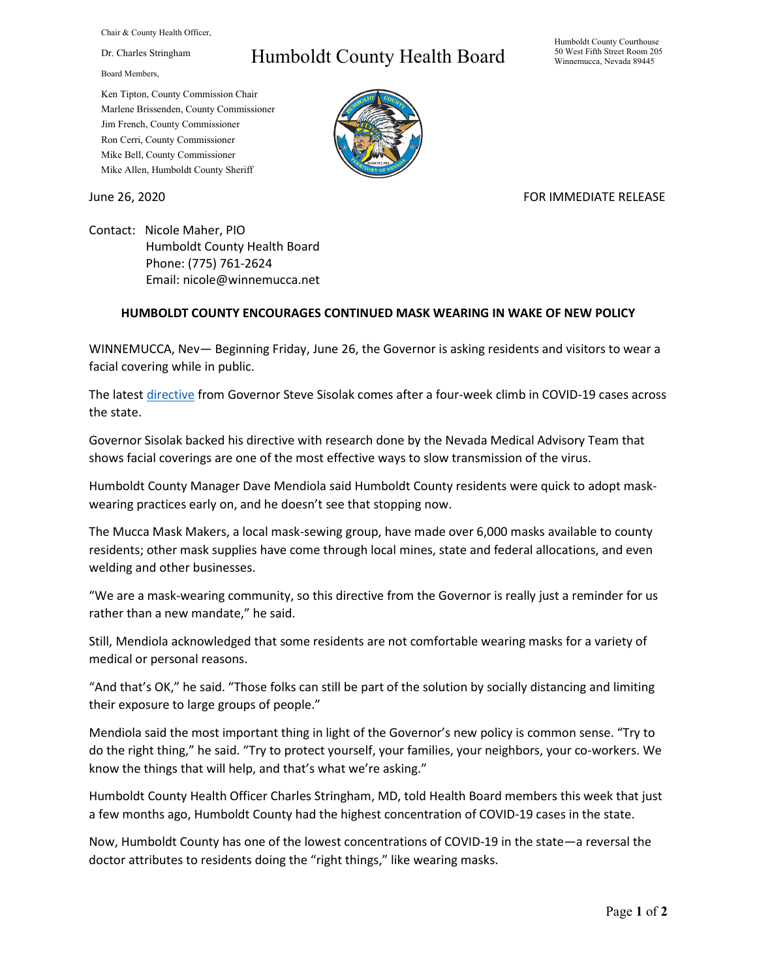Chair & County Health Officer,

Dr. Charles Stringham

Board Members,

## Humboldt County Health Board

Humboldt County Courthouse 50 West Fifth Street Room 205 Winnemucca, Nevada 89445

Ken Tipton, County Commission Chair Marlene Brissenden, County Commissioner Jim French, County Commissioner Ron Cerri, County Commissioner Mike Bell, County Commissioner Mike Allen, Humboldt County Sheriff

June 26, 2020 **FOR IMMEDIATE RELEASE** 

Contact: Nicole Maher, PIO Humboldt County Health Board Phone: (775) 761-2624 Email: nicole@winnemucca.net

## **HUMBOLDT COUNTY ENCOURAGES CONTINUED MASK WEARING IN WAKE OF NEW POLICY**

WINNEMUCCA, Nev— Beginning Friday, June 26, the Governor is asking residents and visitors to wear a facial covering while in public.

The lates[t directive](https://nvhealthresponse.nv.gov/wp-content/uploads/2020/06/Directive-024-Face-Coverings.pdf) from Governor Steve Sisolak comes after a four-week climb in COVID-19 cases across the state.

Governor Sisolak backed his directive with research done by the Nevada Medical Advisory Team that shows facial coverings are one of the most effective ways to slow transmission of the virus.

Humboldt County Manager Dave Mendiola said Humboldt County residents were quick to adopt maskwearing practices early on, and he doesn't see that stopping now.

The Mucca Mask Makers, a local mask-sewing group, have made over 6,000 masks available to county residents; other mask supplies have come through local mines, state and federal allocations, and even welding and other businesses.

"We are a mask-wearing community, so this directive from the Governor is really just a reminder for us rather than a new mandate," he said.

Still, Mendiola acknowledged that some residents are not comfortable wearing masks for a variety of medical or personal reasons.

"And that's OK," he said. "Those folks can still be part of the solution by socially distancing and limiting their exposure to large groups of people."

Mendiola said the most important thing in light of the Governor's new policy is common sense. "Try to do the right thing," he said. "Try to protect yourself, your families, your neighbors, your co-workers. We know the things that will help, and that's what we're asking."

Humboldt County Health Officer Charles Stringham, MD, told Health Board members this week that just a few months ago, Humboldt County had the highest concentration of COVID-19 cases in the state.

Now, Humboldt County has one of the lowest concentrations of COVID-19 in the state—a reversal the doctor attributes to residents doing the "right things," like wearing masks.